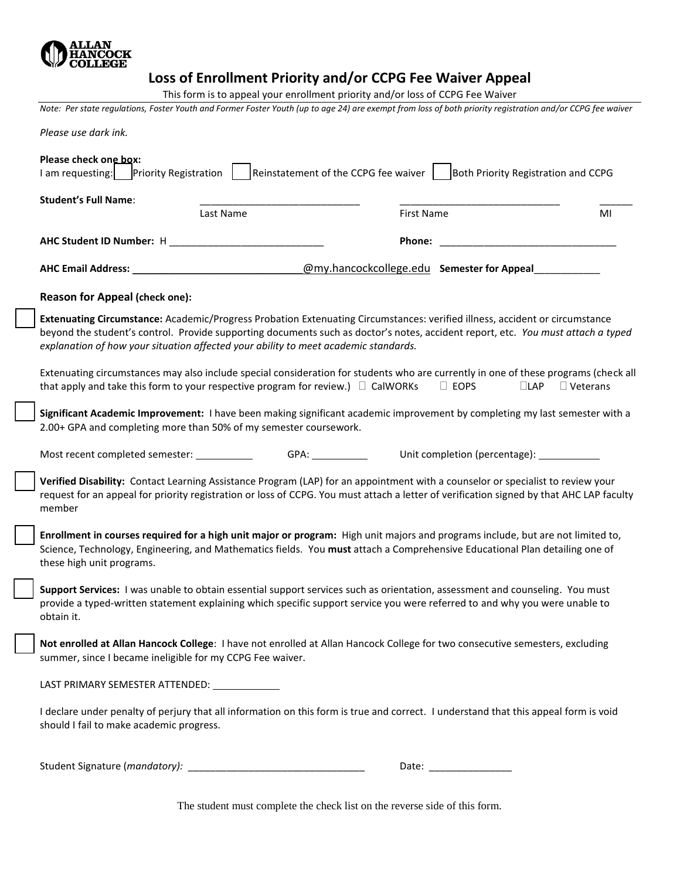

## **Loss of Enrollment Priority and/or CCPG Fee Waiver Appeal**

This form is to appeal your enrollment priority and/or loss of CCPG Fee Waiver

*Note: Per state regulations, Foster Youth and Former Foster Youth (up to age 24) are exempt from loss of both priority registration and/or CCPG fee waiver* 

| Please use dark ink.                                                                                                                                                                                                                                                                                                                                   |                                            |                           |                 |  |  |
|--------------------------------------------------------------------------------------------------------------------------------------------------------------------------------------------------------------------------------------------------------------------------------------------------------------------------------------------------------|--------------------------------------------|---------------------------|-----------------|--|--|
| Please check one box:<br>Reinstatement of the CCPG fee waiver<br>Both Priority Registration and CCPG<br>I am requesting:<br><b>Priority Registration</b>                                                                                                                                                                                               |                                            |                           |                 |  |  |
| <b>Student's Full Name:</b><br>Last Name                                                                                                                                                                                                                                                                                                               | <b>First Name</b>                          |                           | MI              |  |  |
|                                                                                                                                                                                                                                                                                                                                                        |                                            |                           |                 |  |  |
|                                                                                                                                                                                                                                                                                                                                                        | Phone:                                     |                           |                 |  |  |
| <b>AHC Email Address:</b>                                                                                                                                                                                                                                                                                                                              | @my.hancockcollege.edu Semester for Appeal |                           |                 |  |  |
| Reason for Appeal (check one):                                                                                                                                                                                                                                                                                                                         |                                            |                           |                 |  |  |
| Extenuating Circumstance: Academic/Progress Probation Extenuating Circumstances: verified illness, accident or circumstance<br>beyond the student's control. Provide supporting documents such as doctor's notes, accident report, etc. You must attach a typed<br>explanation of how your situation affected your ability to meet academic standards. |                                            |                           |                 |  |  |
| Extenuating circumstances may also include special consideration for students who are currently in one of these programs (check all<br>that apply and take this form to your respective program for review.) $\Box$ CalWORKs                                                                                                                           |                                            | $\Box$ EOPS<br>$\Box$ LAP | $\Box$ Veterans |  |  |
| Significant Academic Improvement: I have been making significant academic improvement by completing my last semester with a<br>2.00+ GPA and completing more than 50% of my semester coursework.                                                                                                                                                       |                                            |                           |                 |  |  |
| Most recent completed semester: ____________                                                                                                                                                                                                                                                                                                           |                                            |                           |                 |  |  |
| Verified Disability: Contact Learning Assistance Program (LAP) for an appointment with a counselor or specialist to review your<br>request for an appeal for priority registration or loss of CCPG. You must attach a letter of verification signed by that AHC LAP faculty<br>member                                                                  |                                            |                           |                 |  |  |
| Enrollment in courses required for a high unit major or program: High unit majors and programs include, but are not limited to,<br>Science, Technology, Engineering, and Mathematics fields. You must attach a Comprehensive Educational Plan detailing one of<br>these high unit programs.                                                            |                                            |                           |                 |  |  |
| Support Services: I was unable to obtain essential support services such as orientation, assessment and counseling. You must<br>provide a typed-written statement explaining which specific support service you were referred to and why you were unable to<br>obtain it.                                                                              |                                            |                           |                 |  |  |
| Not enrolled at Allan Hancock College: I have not enrolled at Allan Hancock College for two consecutive semesters, excluding<br>summer, since I became ineligible for my CCPG Fee waiver.                                                                                                                                                              |                                            |                           |                 |  |  |
| LAST PRIMARY SEMESTER ATTENDED: _____________                                                                                                                                                                                                                                                                                                          |                                            |                           |                 |  |  |
| I declare under penalty of perjury that all information on this form is true and correct. I understand that this appeal form is void<br>should I fail to make academic progress.                                                                                                                                                                       |                                            |                           |                 |  |  |
|                                                                                                                                                                                                                                                                                                                                                        |                                            | Date: _________________   |                 |  |  |

The student must complete the check list on the reverse side of this form.